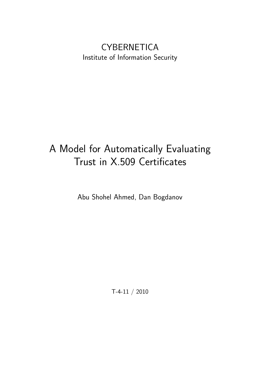## **CYBERNETICA** Institute of Information Security

# A Model for Automatically Evaluating Trust in X.509 Certificates

Abu Shohel Ahmed, Dan Bogdanov

T-4-11 / 2010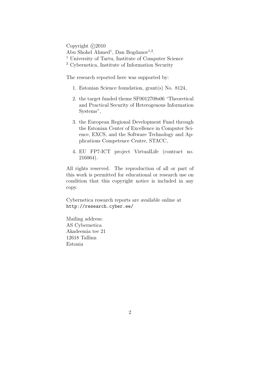Copyright  $\odot$ 2010 Abu Shohel Ahmed<sup>1</sup>, Dan Bogdanov<sup>1,2</sup>. <sup>1</sup> University of Tartu, Institute of Computer Science <sup>2</sup> Cybernetica, Institute of Information Security

The research reported here was supported by:

- 1. Estonian Science foundation, grant(s) No. 8124,
- 2. the target funded theme SF0012708s06 "Theoretical and Practical Security of Heterogenous Information Systems",
- 3. the European Regional Development Fund through the Estonian Center of Excellence in Computer Science, EXCS, and the Software Technology and Applications Competence Centre, STACC,
- 4. EU FP7-ICT project VirtualLife (contract no. 216064).

All rights reserved. The reproduction of all or part of this work is permitted for educational or research use on condition that this copyright notice is included in any copy.

Cybernetica research reports are available online at http://research.cyber.ee/

Mailing address: AS Cybernetica Akadeemia tee 21 12618 Tallinn Estonia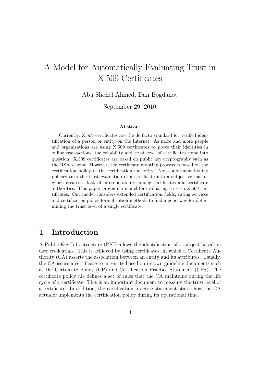## A Model for Automatically Evaluating Trust in X.509 Certificates

Abu Shohel Ahmed, Dan Bogdanov

September 29, 2010

#### Abstract

Currently, X.509 certificates are the de facto standard for verified identification of a person or entity on the Internet. As more and more people and organizations are using X.509 certificates to prove their identities in online transactions, the reliability and trust level of certificates come into question. X.509 certificates are based on public key cryptography such as the RSA scheme. However, the certificate granting process is based on the certification policy of the certification authority. Non-conformant issuing policies turn the trust evaluation of a certificate into a subjective matter which creates a lack of interoperability among certificates and certificate authorities. This paper presents a model for evaluating trust in X.509 certificates. Our model considers extended certification fields, rating services and certification policy formalization methods to find a good way for determining the trust level of a single certificate.

### 1 Introduction

A Public Key Infrastructure (PKI) allows the identification of a subject based on user credentials. This is achieved by using certificates, in which a Certificate Authority (CA) asserts the association between an entity and its attributes. Usually, the CA issues a certificate to an entity based on its own guideline documents such as the Certificate Policy (CP) and Certification Practice Statement (CPS). The certificate policy file defines a set of rules that the CA maintains during the life cycle of a certificate. This is an important document to measure the trust level of a certificate. In addition, the certification practice statement states how the CA actually implements the certification policy during its operational time.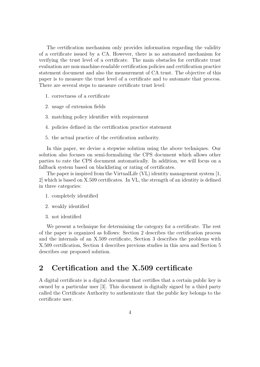The certification mechanism only provides information regarding the validity of a certificate issued by a CA. However, there is no automated mechanism for verifying the trust level of a certificate. The main obstacles for certificate trust evaluation are non-machine-readable certification policies and certification practice statement document and also the measurement of CA trust. The objective of this paper is to measure the trust level of a certificate and to automate that process. There are several steps to measure certificate trust level:

- 1. correctness of a certificate
- 2. usage of extension fields
- 3. matching policy identifier with requirement
- 4. policies defined in the certification practice statement
- 5. the actual practice of the certification authority.

In this paper, we devise a stepwise solution using the above techniques. Our solution also focuses on semi-formalizing the CPS document which allows other parties to rate the CPS document automatically. In addition, we will focus on a fallback system based on blacklisting or rating of certificates.

The paper is inspired from the VirtualLife (VL) identity management system [1, 2] which is based on X.509 certificates. In VL, the strength of an identity is defined in three categories:

- 1. completely identified
- 2. weakly identified
- 3. not identified

We present a technique for determining the category for a certificate. The rest of the paper is organized as follows: Section 2 describes the certification process and the internals of an X.509 certificate, Section 3 describes the problems with X.509 certification, Section 4 describes previous studies in this area and Section 5 describes our proposed solution.

## 2 Certification and the X.509 certificate

A digital certificate is a digital document that certifies that a certain public key is owned by a particular user [3]. This document is digitally signed by a third party called the Certificate Authority to authenticate that the public key belongs to the certificate user.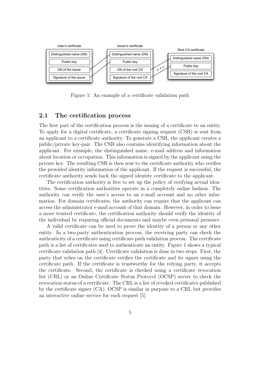

Figure 1: An example of a certificate validation path

#### 2.1 The certification process

The first part of the certification process is the issuing of a certificate to an entity. To apply for a digital certificate, a certificate signing request (CSR) is sent from an applicant to a certificate authority. To generate a CSR, the applicant creates a public/private key-pair. The CSR also contains identifying information about the applicant. For example, the distinguished name, e-mail address and information about location or occupation. This information is signed by the applicant using the private key. The resulting CSR is then sent to the certificate authority who verifies the provided identity information of the applicant. If the request is successful, the certificate authority sends back the signed identity certificate to the applicant.

The certification authority is free to set up the policy of verifying actual identities. Some certification authorities operate in a completely online fashion. The authority can verify the user's access to an e-mail account and no other information. For domain certificates, the authority can require that the applicant can access the administrator e-mail account of that domain. However, in order to issue a more trusted certificate, the certification authority should verify the identity of the individual by requiring official documents and maybe even personal presence.

A valid certificate can be used to prove the identity of a person or any other entity. In a two-party authentication process, the receiving party can check the authenticity of a certificate using certificate path validation process. The certificate path is a list of certificates used to authenticate an entity. Figure 1 shows a typical certificate validation path [4]. Certificate validation is done in two steps. First, the party that relies on the certificate verifies the certificate and its signer using the certificate path. If the certificate is trustworthy for the relying party, it accepts the certificate. Second, the certificate is checked using a certificate revocation list (CRL) or an Online Certificate Status Protocol (OCSP) server to check the revocation status of a certificate. The CRL is a list of revoked certificates published by the certificate signer (CA). OCSP is similar in purpose to a CRL but provides an interactive online service for each request [5].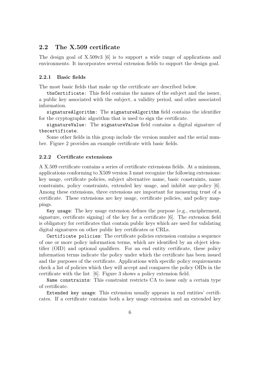#### 2.2 The X.509 certificate

The design goal of X.509v3 [6] is to support a wide range of applications and environments. It incorporates several extension fields to support the design goal.

#### 2.2.1 Basic fields

The most basic fields that make up the certificate are described below.

tbsCertificate: This field contains the names of the subject and the issuer, a public key associated with the subject, a validity period, and other associated information.

signatureAlgorithm: The signatureAlgorithm field contains the identifier for the cryptographic algorithm that is used to sign the certificate.

signatureValue: The signatureValue field contains a digital signature of tbscertificate.

Some other fields in this group include the version number and the serial number. Figure 2 provides an example certificate with basic fields.

#### 2.2.2 Certificate extensions

A X.509 certificate contains a series of certificate extensions fields. At a minimum, applications conforming to X509 version 3 must recognize the following extensions: key usage, certificate policies, subject alternative name, basic constraints, name constraints, policy constraints, extended key usage, and inhibit any-policy [6]. Among these extensions, three extensions are important for measuring trust of a certificate. These extensions are key usage, certificate policies, and policy mappings.

Key usage: The key usage extension defines the purpose  $(e.g.,\,encipherment,$ signature, certificate signing) of the key for a certificate [6]. The extension field is obligatory for certificates that contain public keys which are used for validating digital signatures on other public key certificates or CRLs.

Certificate policies: The certificate policies extension contains a sequence of one or more policy information terms, which are identified by an object identifier (OID) and optional qualifiers. For an end entity certificate, these policy information terms indicate the policy under which the certificate has been issued and the purposes of the certificate. Applications with specific policy requirements check a list of policies which they will accept and compares the policy OIDs in the certificate with the list [6]. Figure 3 shows a policy extension field.

Name constraints: This constraint restricts CA to issue only a certain type of certificate.

Extended key usage: This extension usually appears in end entities' certificates. If a certificate contains both a key usage extension and an extended key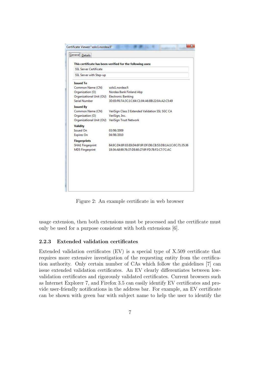| <b>SSL Server Certificate</b>               |                                                             |  |  |
|---------------------------------------------|-------------------------------------------------------------|--|--|
| SSL Server with Step-up                     |                                                             |  |  |
| <b>Issued To</b>                            |                                                             |  |  |
| Common Name (CN)                            | solo1.nordea.fi                                             |  |  |
| Organization (O)                            | Nordea Bank Finland Abp                                     |  |  |
| Organizational Unit (OU) Electronic Banking |                                                             |  |  |
| <b>Serial Number</b>                        | 3D:E0:F6:7A:3C:1C:64:C1:04:A6:BB:22:0A:A2:C5:49             |  |  |
| <b>Issued By</b>                            |                                                             |  |  |
| Common Name (CN)                            | VeriSign Class 3 Extended Validation SSL SGC CA             |  |  |
| Organization (O)                            | VeriSign, Inc.                                              |  |  |
| Organizational Unit (OU)                    | VeriSign Trust Network                                      |  |  |
| <b>Validity</b>                             |                                                             |  |  |
| <b>Issued On</b>                            | 03/06/2009                                                  |  |  |
| Expires On                                  | 04/06/2010                                                  |  |  |
| <b>Fingerprints</b>                         |                                                             |  |  |
| <b>SHA1 Fingerprint</b>                     | 64:9C:D4:BF:03:E9:D4:6F:9F:DF:D8:CB:53:DB:1A:1C:0C:71:35:36 |  |  |
| <b>MD5 Fingerprint</b>                      | 19:34:A8:90:76:37:DE:60:27:9F:FD:78:F2:C7:7C:AC             |  |  |
|                                             |                                                             |  |  |
|                                             |                                                             |  |  |
|                                             |                                                             |  |  |
|                                             |                                                             |  |  |

Figure 2: An example certificate in web browser

usage extension, then both extensions must be processed and the certificate must only be used for a purpose consistent with both extensions [6].

#### 2.2.3 Extended validation certificates

Extended validation certificates (EV) is a special type of X.509 certificate that requires more extensive investigation of the requesting entity from the certification authority. Only certain number of CAs which follow the guidelines [7] can issue extended validation certificates. An EV clearly differentiates between lowvalidation certificates and rigorously validated certificates. Current browsers such as Internet Explorer 7, and Firefox 3.5 can easily identify EV certificates and provide user-friendly notifications in the address bar. For example, an EV certificate can be shown with green bar with subject name to help the user to identify the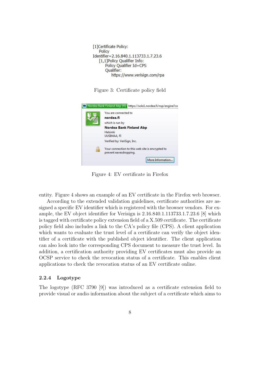

Figure 3: Certificate policy field



Figure 4: EV certificate in Firefox

entity. Figure 4 shows an example of an EV certificate in the Firefox web browser.

According to the extended validation guidelines, certificate authorities are assigned a specific EV identifier which is registered with the browser vendors. For example, the EV object identifier for Verisign is 2.16.840.1.113733.1.7.23.6 [8] which is tagged with certificate policy extension field of a X.509 certificate. The certificate policy field also includes a link to the CA's policy file (CPS). A client application which wants to evaluate the trust level of a certificate can verify the object identifier of a certificate with the published object identifier. The client application can also look into the corresponding CPS document to measure the trust level. In addition, a certification authority providing EV certificates must also provide an OCSP service to check the revocation status of a certificate. This enables client applications to check the revocation status of an EV certificate online.

#### 2.2.4 Logotype

The logotype (RFC 3790 [9]) was introduced as a certificate extension field to provide visual or audio information about the subject of a certificate which aims to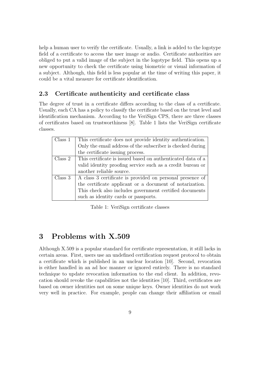help a human user to verify the certificate. Usually, a link is added to the logotype field of a certificate to access the user image or audio. Certificate authorities are obliged to put a valid image of the subject in the logotype field. This opens up a new opportunity to check the certificate using biometric or visual information of a subject. Although, this field is less popular at the time of writing this paper, it could be a vital measure for certificate identification.

#### 2.3 Certificate authenticity and certificate class

The degree of trust in a certificate differs according to the class of a certificate. Usually, each CA has a policy to classify the certificate based on the trust level and identification mechanism. According to the VeriSign CPS, there are three classes of certificates based on trustworthiness [8]. Table 1 lists the VeriSign certificate classes.

| Class 1 | This certificate does not provide identity authentication.  |  |
|---------|-------------------------------------------------------------|--|
|         | Only the email address of the subscriber is checked during  |  |
|         | the certificate issuing process.                            |  |
| Class 2 | This certificate is issued based on authenticated data of a |  |
|         | valid identity proofing service such as a credit bureau or  |  |
|         | another reliable source.                                    |  |
| Class 3 | A class 3 certificate is provided on personal presence of   |  |
|         | the certificate applicant or a document of notarization.    |  |
|         | This check also includes government certified documents     |  |
|         | such as identity cards or passports.                        |  |

Table 1: VeriSign certificate classes

## 3 Problems with X.509

Although X.509 is a popular standard for certificate representation, it still lacks in certain areas. First, users use an undefined certification request protocol to obtain a certificate which is published in an unclear location [10]. Second, revocation is either handled in an ad hoc manner or ignored entirely. There is no standard technique to update revocation information to the end client. In addition, revocation should revoke the capabilities not the identities [10]. Third, certificates are based on owner identities not on some unique keys. Owner identities do not work very well in practice. For example, people can change their affiliation or email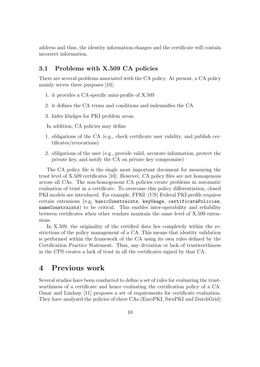address and thus, the identity information changes and the certificate will contain incorrect information.

#### 3.1 Problems with X.509 CA policies

There are several problems associated with the CA policy. At present, a CA policy mainly serves three purposes [10]:

- 1. it provides a CA-specific mini-profile of X.509
- 2. it defines the CA terms and conditions and indemnifies the CA
- 3. hides kludges for PKI problem areas.

In addition, CA policies may define

- 1. obligations of the CA (e.g., check certificate user validity, and publish certificates/revocations)
- 2. obligations of the user (e.g., provide valid, accurate information, protect the private key, and notify the CA on private key compromise)

The CA policy file is the single most important document for measuring the trust level of X.509 certificates [10]. However, CA policy files are not homogenous across all CAs. The non-homogenous CA policies create problems in automatic evaluation of trust in a certificate. To overcome this policy differentiation, closed PKI models are introduced. For example, FPKI: (US) Federal PKI profile requires certain extensions (e.g, basicConstraints, keyUsage, certificatePolicies, nameConstraints) to be critical. This enables inter-operability and reliability between certificates when other vendors maintain the same level of X.509 extensions.

In X.509, the originality of the certified data lies completely within the restrictions of the policy management of a CA. This means that identity validation is performed within the framework of the CA using its own rules defined by the Certification Practice Statement. Thus, any deviation or lack of trustworthiness in the CPS creates a lack of trust in all the certificates signed by that CA.

## 4 Previous work

Several studies have been conducted to define a set of rules for evaluating the trustworthiness of a certificate and hence evaluating the certification policy of a CA. Omar and Lindsay [11] proposes a set of requirements for certificate evaluation. They have analyzed the policies of three CAs (EuroPKI, SwuPKI and DutchGrid)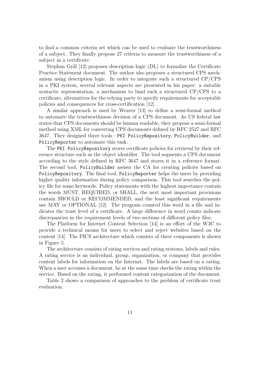to find a common criteria set which can be used to evaluate the trustworthiness of a subject. They finally propose 27 criteria to measure the trustworthiness of a subject in a certificate.

Stephan Grill [12] proposes description logic (DL) to formalize the Certificate Practice Statement document. The author also proposes a structured CPS mechanism using description logic. In order to integrate such a structured CP/CPS in a PKI system, several relevant aspects are presented in his paper: a suitable syntactic representation, a mechanism to bind such a structured CP/CPS to a certificate, alternatives for the relying party to specify requirements for acceptable policies and consequences for cross-certification [12].

A similar approach is used by Weaver [13] to define a semi-formal method to automate the trustworthiness decision of a CPS document. As US federal law states that CPS documents should be human readable, they propose a semi-formal method using XML for converting CPS documents defined by RFC 2527 and RFC 3647. They designed three tools—PKI PolicyRepository, PolicyBuilder, and PolicyReporter to automate this task.

The PKI PolicyRepository stores certificate policies for retrieval by their reference structure such as the object identifier. The tool segments a CPS document according to the style defined in RFC 3647 and stores it in a reference format. The second tool, PolicyBuilder assists the CA for creating policies based on PolicyRepository. The final tool, PolicyReporter helps the users by providing higher quality information during policy comparison. This tool searches the policy file for some keywords. Policy statements with the highest importance contain the words MUST, REQUIRED, or SHALL, the next most important provisions contain SHOULD or RECOMMENDED, and the least significant requirements use MAY or OPTIONAL [12]. The program counted this word in a file and indicates the trust level of a certificate. A large difference in word counts indicate discrepancies in the requirement levels of two sections of different policy files.

The Platform for Internet Content Selection [14] is an effort of the W3C to provide a technical means for users to select and reject websites based on the content [14]. The PICS architecture which consists of three components is shown in Figure 5.

The architecture consists of rating services and rating systems, labels and rules. A rating service is an individual, group, organization, or company that provides content labels for information on the Internet. The labels are based on a rating. When a user accesses a document, he at the same time checks the rating within the service. Based on the rating, it performed content categorization of the document.

Table 2 shows a comparison of approaches to the problem of certificate trust evaluation.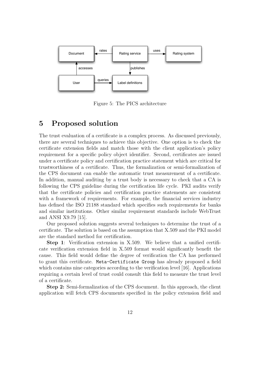

Figure 5: The PICS architecture

### 5 Proposed solution

The trust evaluation of a certificate is a complex process. As discussed previously, there are several techniques to achieve this objective. One option is to check the certificate extension fields and match those with the client application's policy requirement for a specific policy object identifier. Second, certificates are issued under a certificate policy and certification practice statement which are critical for trustworthiness of a certificate. Thus, the formalization or semi-formalization of the CPS document can enable the automatic trust measurement of a certificate. In addition, manual auditing by a trust body is necessary to check that a CA is following the CPS guideline during the certification life cycle. PKI audits verify that the certificate policies and certification practice statements are consistent with a framework of requirements. For example, the financial services industry has defined the ISO 21188 standard which specifies such requirements for banks and similar institutions. Other similar requirement standards include WebTrust and ANSI X9.79 [15].

Our proposed solution suggests several techniques to determine the trust of a certificate. The solution is based on the assumption that X.509 and the PKI model are the standard method for certification.

Step 1: Verification extension in X.509. We believe that a unified certificate verification extension field in X.509 format would significantly benefit the cause. This field would define the degree of verification the CA has performed to grant this certificate. Meta-Certificate Group has already proposed a field which contains nine categories according to the verification level [16]. Applications requiring a certain level of trust could consult this field to measure the trust level of a certificate.

Step 2: Semi-formalization of the CPS document. In this approach, the client application will fetch CPS documents specified in the policy extension field and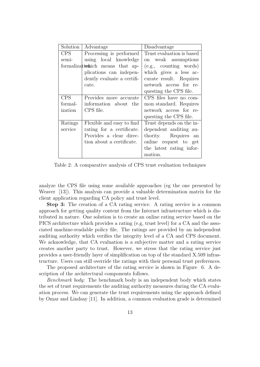| Solution                          | Advantage                  | Disadvantage              |
|-----------------------------------|----------------------------|---------------------------|
| <b>CPS</b>                        | Processing is performed.   | Trust evaluation is based |
| semi-                             | using local knowledge      | on weak assumptions       |
| formalization hich means that ap- |                            | $(e.g.,$ counting words)  |
|                                   | plications can indepen-    | which gives a less ac-    |
|                                   | dently evaluate a certifi- | curate result. Requires   |
|                                   | cate.                      | network access for re-    |
|                                   |                            | questing the CPS file.    |
| <b>CPS</b>                        | Provides more accurate     | CPS files have no com-    |
| formal-                           | information about the      | mon standard. Requires    |
| ization                           | CPS file.                  | network access for re-    |
|                                   |                            | questing the CPS file.    |
| Ratings                           | Flexible and easy to find  | Trust depends on the in-  |
| service                           | rating for a certificate.  | dependent auditing au-    |
|                                   | Provides a clear direc-    | thority. Requires an      |
|                                   | tion about a certificate.  | online request to get     |
|                                   |                            | the latest rating infor-  |
|                                   |                            | mation.                   |

Table 2: A comparative analysis of CPS trust evaluation techniques

analyze the CPS file using some available approaches (eg the one presented by Weaver [13]). This analysis can provide a valuable determination matrix for the client application regarding CA policy and trust level.

Step 3: The creation of a CA rating service. A rating service is a common approach for getting quality content from the Internet infrastructure which is distributed in nature. One solution is to create an online rating service based on the PICS architecture which provides a rating (e.g, trust level) for a CA and the associated machine-readable policy file. The ratings are provided by an independent auditing authority which verifies the integrity level of a CA and CPS document. We acknowledge, that CA evaluation is a subjective matter and a rating service creates another party to trust. However, we stress that the rating service just provides a user-friendly layer of simplification on top of the standard X.509 infrastructure. Users can still override the ratings with their personal trust preferences.

The proposed architecture of the rating service is shown in Figure 6. A description of the architectural components follows.

Benchmark body: The benchmark body is an independent body which states the set of trust requirements the auditing authority measures during the CA evaluation process. We can generate the trust requirements using the approach defined by Omar and Lindsay [11]. In addition, a common evaluation grade is determined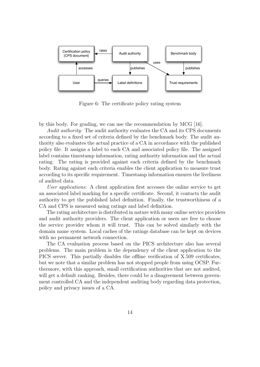

Figure 6: The certificate policy rating system

by this body. For grading, we can use the recommendation by MCG [16].

Audit authority: The audit authority evaluates the CA and its CPS documents according to a fixed set of criteria defined by the benchmark body. The audit authority also evaluates the actual practice of a CA in accordance with the published policy file. It assigns a label to each CA and associated policy file. The assigned label contains timestamp information, rating authority information and the actual rating. The rating is provided against each criteria defined by the benchmark body. Rating against each criteria enables the client application to measure trust according to its specific requirement. Timestamp information ensures the liveliness of audited data.

User applications: A client application first accesses the online service to get an associated label marking for a specific certificate. Second, it contacts the audit authority to get the published label definition. Finally, the trustworthiness of a CA and CPS is measured using ratings and label definition.

The rating architecture is distributed in nature with many online service providers and audit authority providers. The client application or users are free to choose the service provider whom it will trust. This can be solved similarly with the domain name system. Local caches of the ratings database can be kept on devices with no permanent network connection.

The CA evaluation process based on the PICS architecture also has several problems. The main problem is the dependency of the client application to the PICS server. This partially disables the offline verification of X.509 certificates, but we note that a similar problem has not stopped people from using OCSP. Furthermore, with this approach, small certification authorities that are not audited, will get a default ranking. Besides, there could be a disagreement between government controlled CA and the independent auditing body regarding data protection, policy and privacy issues of a CA.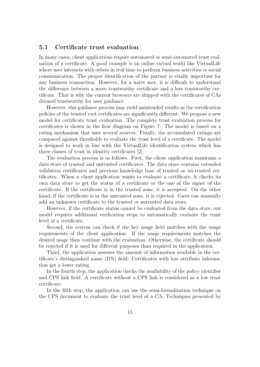#### 5.1 Certificate trust evaluation

In many cases, client applications require automated or semi-automated trust evaluation of a certificate. A good example is an online virtual world like VirtualLife where user interacts with others in real time to perform business activities or social communication. The proper identification of the partner is vitally important for any business transaction. However, for a naive user, it is difficult to understand the difference between a more trustworthy certificate and a less trustworthy certificate. That is why the current browsers are shipped with the certificates of CAs deemed trustworthy for user guidance.

However, this guidance process may yield unintended results as the certification policies of the trusted root certificates are significantly different. We propose a new model for certificate trust evaluation. The complete trust evaluation process for certificates is shown in the flow diagram on Figure 7. The model is based on a rating mechanism that uses several sources. Finally, the accumulated ratings are compared against thresholds to evaluate the trust level of a certificate. The model is designed to work in line with the VirtualLife identification system which has three classes of trust in identity certificates [2].

The evaluation process is as follows. First, the client application maintains a data store of trusted and untrusted certificates. The data store contains extended validation certificates and previous knowledge base of trusted or un-trusted certificates. When a client application wants to evaluate a certificate, it checks its own data store to get the status of a certificate or the one of the signer of the certificate. If the certificate is in the trusted zone, it is accepted. On the other hand, if the certificate is in the untrusted zone, it is rejected. Users can manually add an unknown certificate to the trusted or untrusted data store.

However, if the certificate status cannot be evaluated from the data store, our model requires additional verification steps to automatically evaluate the trust level of a certificate.

Second, the system can check if the key usage field matches with the usage requirements of the client application. If the usage requirements matches the desired usage then continue with the evaluation. Otherwise, the certificate should be rejected if it is used for different purposes than required in the application.

Third, the application assesses the amount of information available in the certificate's distinguished name (DN) field. Certificates with less attribute information get a lower rating.

In the fourth step, the application checks the availability of the policy identifier and CPS link field. A certificate without a CPS link is considered as a low trust certificate.

In the fifth step, the application can use the semi-formalization technique on the CPS document to evaluate the trust level of a CA. Techniques presented by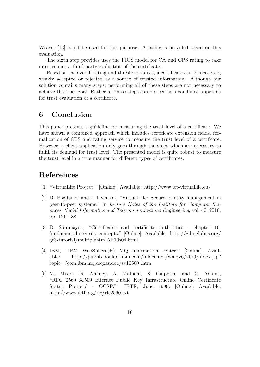Weaver [13] could be used for this purpose. A rating is provided based on this evaluation.

The sixth step provides uses the PICS model for CA and CPS rating to take into account a third-party evaluation of the certificate.

Based on the overall rating and threshold values, a certificate can be accepted, weakly accepted or rejected as a source of trusted information. Although our solution contains many steps, performing all of these steps are not necessary to achieve the trust goal. Rather all these steps can be seen as a combined approach for trust evaluation of a certificate.

## 6 Conclusion

This paper presents a guideline for measuring the trust level of a certificate. We have shown a combined approach which includes certificate extension fields, formalization of CPS and rating service to measure the trust level of a certificate. However, a client application only goes through the steps which are necessary to fulfill its demand for trust level. The presented model is quite robust to measure the trust level in a true manner for different types of certificates.

## References

- [1] "VirtuaLife Project." [Online]. Available: http://www.ict-virtuallife.eu/
- [2] D. Bogdanov and I. Livenson, "VirtualLife: Secure identity management in peer-to-peer systems," in Lecture Notes of the Institute for Computer Sciences, Social Informatics and Telecommunications Engineering, vol. 40, 2010, pp. 181–188.
- [3] B. Sotomayor, "Certificates and certificate authorities chapter 10. fundamental security concepts." [Online]. Available: http://gdp.globus.org/ gt3-tutorial/multiplehtml/ch10s04.html
- [4] IBM, "IBM WebSphere(R) MQ information center." [Online]. Available: http://publib.boulder.ibm.com/infocenter/wmqv6/v6r0/index.jsp? topic=/com.ibm.mq.csqzas.doc/sy10600 .htm
- [5] M. Myers, R. Ankney, A. Malpani, S. Galperin, and C. Adams, "RFC 2560 X.509 Internet Public Key Infrastructure Online Certificate Status Protocol - OCSP." IETF, June 1999. [Online]. Available: http://www.ietf.org/rfc/rfc2560.txt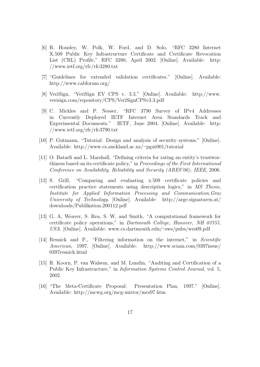- [6] R. Housley, W. Polk, W. Ford, and D. Solo, "RFC 3280 Internet X.509 Public Key Infrastructure Certificate and Certificate Revocation List (CRL) Profile," RFC 3280, April 2002. [Online]. Available: http: //www.ietf.org/rfc/rfc3280.txt
- [7] "Guidelines for extended validation certificates." [Online]. Available: http://www.cabforum.org/
- [8] VeriSign, "VeriSign EV CPS v. 3.3." [Online]. Available: http://www. verisign.com/repository/CPS/VeriSignCPSv3.3.pdf
- [9] C. Mickles and P. Nesser, "RFC 3790 Survey of IPv4 Addresses in Currently Deployed IETF Internet Area Standards Track and Experimental Documents." IETF, June 2004. [Online]. Available: http: //www.ietf.org/rfc/rfc3790.txt
- [10] P. Gutmann, "Tutorial: Design and analysis of security systems." [Online]. Available: http://www.cs.auckland.ac.nz/∼pgut001/tutorial
- [11] O. Batarfi and L. Marshall, "Defining criteria for rating an entity's trustworthiness based on its certificate policy," in Proceedings of the First International Conference on Availability, Reliability and Security (ARES'06), IEEE, 2006.
- [12] S. Grill, "Comparing and evaluating x.509 certificate policies and certification practice statements using description logics," in MS Thesis, Institute for Applied Information Processing and Communication,Graz University of Technology. [Online]. Available: http://arge.signaturen.at/ downloads/Publikation.200112.pdf
- [13] G. A, Weaver, S. Rea, S. W, and Smith, "A computational framework for certificate policy operations," in Dartmouth College, Hanover, NH 03755, USA. [Online]. Available: www.cs.dartmouth.edu/∼sws/pubs/wrs09.pdf
- [14] Resnick and P., "Filtering information on the internet," in Scientific American, 1997. [Online]. Available: http://www.sciam.com/0397issue/ 0397resnick.html
- [15] R. Koorn, P. van Walsem, and M. Lundin, "Auditing and Certification of a Public Key Infrastructure," in Information Systems Control Journal, vol. 5, 2002.
- [16] "The Meta-Certificate Proposal: Presentation Plan, 1997." [Online]. Available: http://mcwg.org/mcg-mirror/mcs97.htm